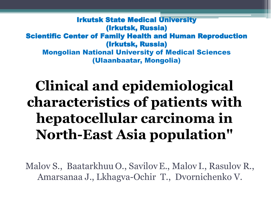Irkutsk State Medical University (Irkutsk, Russia) Scientific Center of Family Health and Human Reproduction (Irkutsk, Russia) Mongolian National University of Medical Sciences (Ulaanbaatar, Mongolia)

# **Clinical and epidemiological characteristics of patients with hepatocellular carcinoma in North-East Asia population"**

Malov S., Baatarkhuu O., SavilovE., Malov I., Rasulov R., Amarsanaa J., Lkhagva-Ochir T., Dvornichenko V.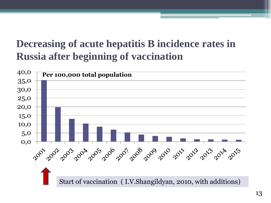### **Decreasing of acute hepatitis B incidence rates in Russia after beginning of vaccination**

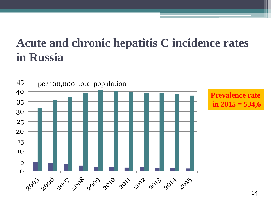# **Acute and chronic hepatitis C incidence rates in Russia**

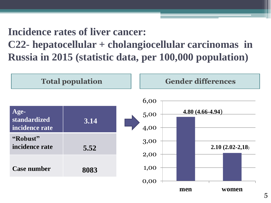## **Incidence rates of liver cancer: C22- hepatocellular + cholangiocellular carcinomas in Russia in 2015 (statistic data, per 100,000 population)**

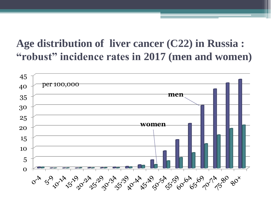### **Age distribution of liver cancer (C22) in Russia : "robust" incidence rates in 2017 (men and women)**

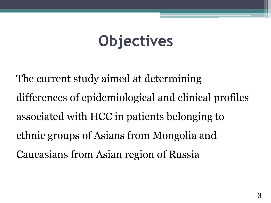# **Objectives**

The current study aimed at determining differences of epidemiological and clinical profiles associated with HCC in patients belonging to ethnic groups of Asians from Mongolia and Caucasians from Asian region of Russia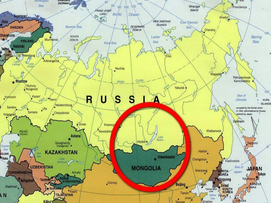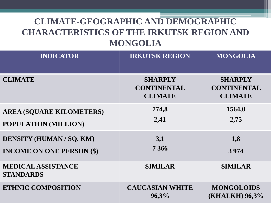#### **CLIMATE-GEOGRAPHIC AND DEMOGRAPHIC CHARACTERISTICS OF THE IRKUTSK REGION AND MONGOLIA**

| <b>INDICATOR</b>                                                    | <b>IRKUTSK REGION</b>                                  | <b>MONGOLIA</b>                                        |
|---------------------------------------------------------------------|--------------------------------------------------------|--------------------------------------------------------|
| <b>CLIMATE</b>                                                      | <b>SHARPLY</b><br><b>CONTINENTAL</b><br><b>CLIMATE</b> | <b>SHARPLY</b><br><b>CONTINENTAL</b><br><b>CLIMATE</b> |
| <b>AREA (SQUARE KILOMETERS)</b><br><b>POPULATION (MILLION)</b>      | 774,8<br>2,41                                          | 1564,0<br>2,75                                         |
| <b>DENSITY (HUMAN / SQ. KM)</b><br><b>INCOME ON ONE PERSON (\$)</b> | 3,1<br>7 3 6 6                                         | 1,8<br>3974                                            |
| <b>MEDICAL ASSISTANCE</b><br><b>STANDARDS</b>                       | <b>SIMILAR</b>                                         | <b>SIMILAR</b>                                         |
| <b>ETHNIC COMPOSITION</b>                                           | <b>CAUCASIAN WHITE</b><br>96,3%                        | <b>MONGOLOIDS</b><br><b>(KHALKH)</b> 96,3%             |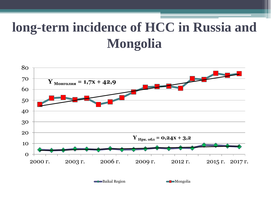# **long-term incidence of HCC in Russia and Mongolia**

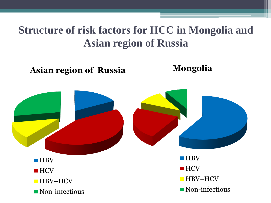### **Structure of risk factors for HCC in Mongolia and Asian region of Russia**

#### **Asian region of Russia**

**Mongolia**

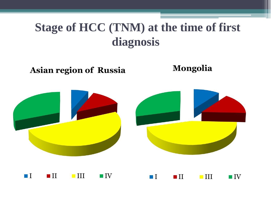## **Stage of HCC (TNM) at the time of first diagnosis**

**Mongolia**

#### **Asian region of Russia**

 $\blacksquare$   $\blacksquare$   $\blacksquare$   $\blacksquare$   $\blacksquare$   $\blacksquare$   $\blacksquare$   $\blacksquare$   $\blacksquare$   $\blacksquare$   $\blacksquare$   $\blacksquare$   $\blacksquare$   $\blacksquare$   $\blacksquare$   $\blacksquare$   $\blacksquare$   $\blacksquare$   $\blacksquare$   $\blacksquare$   $\blacksquare$   $\blacksquare$   $\blacksquare$   $\blacksquare$   $\blacksquare$   $\blacksquare$   $\blacksquare$   $\blacksquare$   $\blacksquare$   $\blacksquare$   $\blacksquare$   $\blacks$  $\blacksquare$   $\blacksquare$   $\blacksquare$   $\blacksquare$   $\blacksquare$   $\blacksquare$   $\blacksquare$   $\blacksquare$   $\blacksquare$   $\blacksquare$   $\blacksquare$   $\blacksquare$   $\blacksquare$   $\blacksquare$   $\blacksquare$   $\blacksquare$   $\blacksquare$   $\blacksquare$   $\blacksquare$   $\blacksquare$   $\blacksquare$   $\blacksquare$   $\blacksquare$   $\blacksquare$   $\blacksquare$   $\blacksquare$   $\blacksquare$   $\blacksquare$   $\blacksquare$   $\blacksquare$   $\blacksquare$   $\blacks$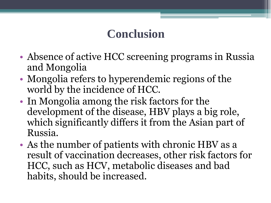## **Conclusion**

- Absence of active HCC screening programs in Russia and Mongolia
- Mongolia refers to hyperendemic regions of the world by the incidence of HCC.
- In Mongolia among the risk factors for the development of the disease, HBV plays a big role, which significantly differs it from the Asian part of Russia.
- As the number of patients with chronic HBV as a result of vaccination decreases, other risk factors for HCC, such as HCV, metabolic diseases and bad habits, should be increased.